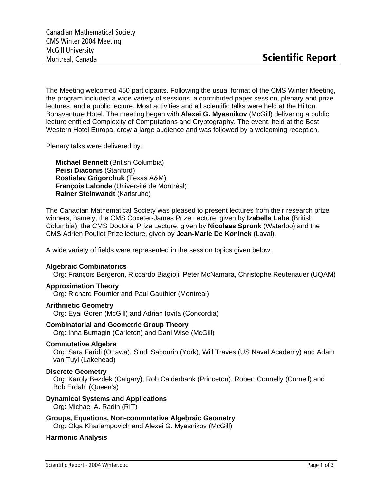The Meeting welcomed 450 participants. Following the usual format of the CMS Winter Meeting, the program included a wide variety of sessions, a contributed paper session, plenary and prize lectures, and a public lecture. Most activities and all scientific talks were held at the Hilton Bonaventure Hotel. The meeting began with **Alexei G. Myasnikov** (McGill) delivering a public lecture entitled Complexity of Computations and Cryptography. The event, held at the Best Western Hotel Europa, drew a large audience and was followed by a welcoming reception.

Plenary talks were delivered by:

**Michael Bennett** (British Columbia) **Persi Diaconis** (Stanford) **Rostislav Grigorchuk** (Texas A&M) **François Lalonde** (Université de Montréal) **Rainer Steinwandt** (Karlsruhe)

The Canadian Mathematical Society was pleased to present lectures from their research prize winners, namely, the CMS Coxeter-James Prize Lecture, given by **Izabella Laba** (British Columbia), the CMS Doctoral Prize Lecture, given by **Nicolaas Spronk** (Waterloo) and the CMS Adrien Pouliot Prize lecture, given by **Jean-Marie De Koninck** (Laval).

A wide variety of fields were represented in the session topics given below:

## **Algebraic Combinatorics**

Org: François Bergeron, Riccardo Biagioli, Peter McNamara, Christophe Reutenauer (UQAM)

## **Approximation Theory**

Org: Richard Fournier and Paul Gauthier (Montreal)

## **Arithmetic Geometry**

Org: Eyal Goren (McGill) and Adrian Iovita (Concordia)

## **Combinatorial and Geometric Group Theory**

Org: Inna Bumagin (Carleton) and Dani Wise (McGill)

# **Commutative Algebra**

Org: Sara Faridi (Ottawa), Sindi Sabourin (York), Will Traves (US Naval Academy) and Adam van Tuyl (Lakehead)

## **Discrete Geometry**

Org: Karoly Bezdek (Calgary), Rob Calderbank (Princeton), Robert Connelly (Cornell) and Bob Erdahl (Queen's)

# **Dynamical Systems and Applications**

Org: Michael A. Radin (RIT)

# **Groups, Equations, Non-commutative Algebraic Geometry**

Org: Olga Kharlampovich and Alexei G. Myasnikov (McGill)

## **Harmonic Analysis**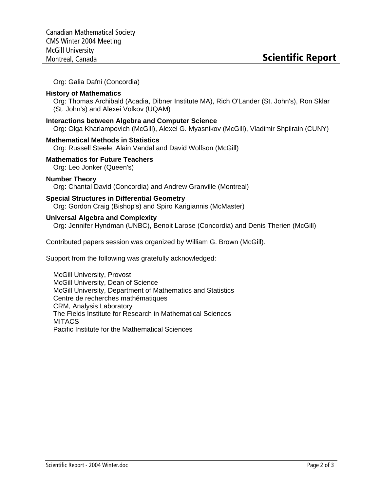Org: Galia Dafni (Concordia)

## **History of Mathematics**

Org: Thomas Archibald (Acadia, Dibner Institute MA), Rich O'Lander (St. John's), Ron Sklar (St. John's) and Alexei Volkov (UQAM)

## **Interactions between Algebra and Computer Science**

Org: Olga Kharlampovich (McGill), Alexei G. Myasnikov (McGill), Vladimir Shpilrain (CUNY)

## **Mathematical Methods in Statistics**

Org: Russell Steele, Alain Vandal and David Wolfson (McGill)

## **Mathematics for Future Teachers**

Org: Leo Jonker (Queen's)

## **Number Theory**

Org: Chantal David (Concordia) and Andrew Granville (Montreal)

## **Special Structures in Differential Geometry**

Org: Gordon Craig (Bishop's) and Spiro Karigiannis (McMaster)

## **Universal Algebra and Complexity**

Org: Jennifer Hyndman (UNBC), Benoit Larose (Concordia) and Denis Therien (McGill)

Contributed papers session was organized by William G. Brown (McGill).

Support from the following was gratefully acknowledged:

McGill University, Provost McGill University, Dean of Science McGill University, Department of Mathematics and Statistics Centre de recherches mathématiques CRM, Analysis Laboratory The Fields Institute for Research in Mathematical Sciences **MITACS** Pacific Institute for the Mathematical Sciences